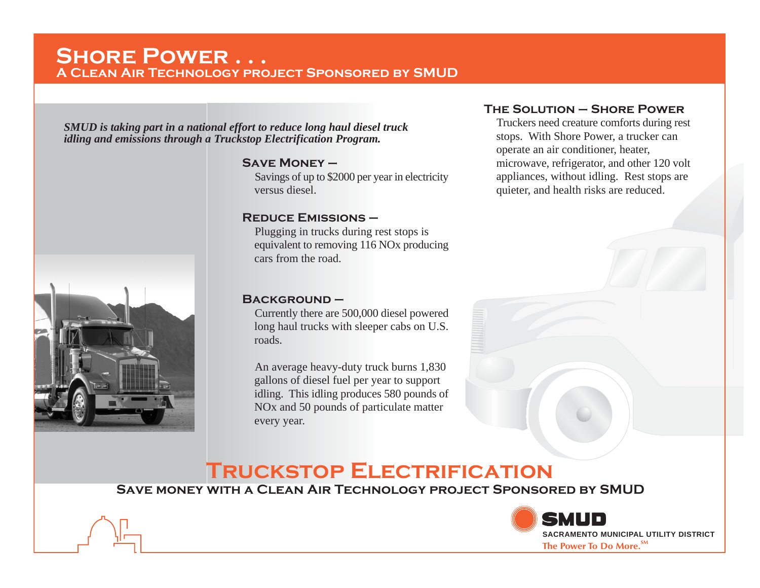# **Shore Power . . . A Clean Air Technology project Sponsored by SMUD**

*SMUD is taking part in a national effort to reduce long haul diesel truck idling and emissions through a Truckstop Electrification Program.*

#### **Save Money –**

Savings of up to \$2000 per year in electricity versus diesel.

### **Reduce Emissions –**

Plugging in trucks during rest stops is equivalent to removing 116 NOx producing cars from the road.

## **Background –**

Currently there are 500,000 diesel powered long haul trucks with sleeper cabs on U.S. roads.

An average heavy-duty truck burns 1,830 gallons of diesel fuel per year to support idling. This idling produces 580 pounds of NOx and 50 pounds of particulate matter every year.

## **The Solution – Shore Power**

Truckers need creature comforts during rest stops. With Shore Power, a trucker can operate an air conditioner, heater, microwave, refrigerator, and other 120 volt appliances, without idling. Rest stops are quieter, and health risks are reduced.

# **Truckstop Electrification**

**Save money with a Clean Air Technology project Sponsored by SMUD**